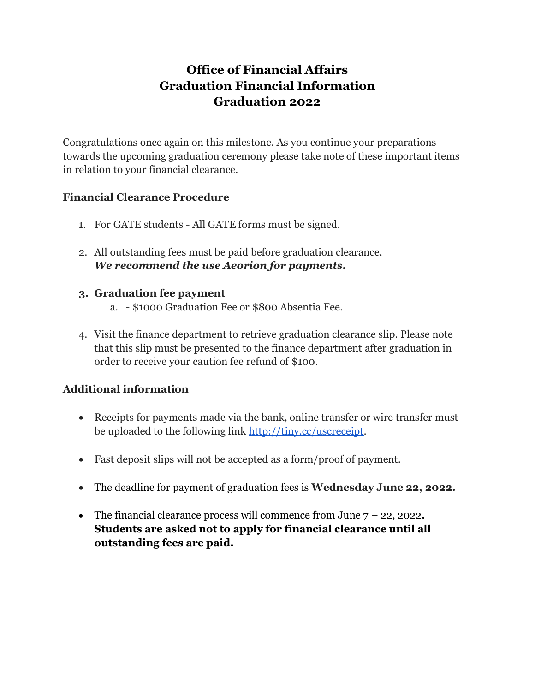# **Office of Financial Affairs Graduation Financial Information Graduation 2022**

Congratulations once again on this milestone. As you continue your preparations towards the upcoming graduation ceremony please take note of these important items in relation to your financial clearance.

# **Financial Clearance Procedure**

- 1. For GATE students All GATE forms must be signed.
- 2. All outstanding fees must be paid before graduation clearance. *We recommend the use Aeorion for payments.*

## **3. Graduation fee payment**

- a. \$1000 Graduation Fee or \$800 Absentia Fee.
- 4. Visit the finance department to retrieve graduation clearance slip. Please note that this slip must be presented to the finance department after graduation in order to receive your caution fee refund of \$100.

# **Additional information**

- Receipts for payments made via the bank, online transfer or wire transfer must be uploaded to the following link [http://tiny.cc/uscreceipt.](http://tiny.cc/uscreceipt)
- Fast deposit slips will not be accepted as a form/proof of payment.
- The deadline for payment of graduation fees is **Wednesday June 22, 2022.**
- The financial clearance process will commence from June 7 22, 2022**. Students are asked not to apply for financial clearance until all outstanding fees are paid.**